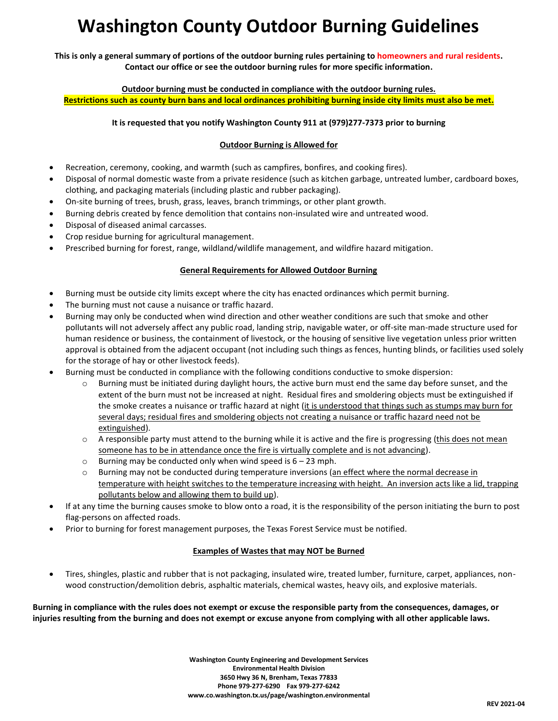# **Washington County Outdoor Burning Guidelines**

**This is only a general summary of portions of the outdoor burning rules pertaining to homeowners and rural residents. Contact our office or see the outdoor burning rules for more specific information.**

**Outdoor burning must be conducted in compliance with the outdoor burning rules. Restrictions such as county burn bans and local ordinances prohibiting burning inside city limits must also be met.**

## **It is requested that you notify Washington County 911 at (979)277-7373 prior to burning**

### **Outdoor Burning is Allowed for**

- Recreation, ceremony, cooking, and warmth (such as campfires, bonfires, and cooking fires).
- Disposal of normal domestic waste from a private residence (such as kitchen garbage, untreated lumber, cardboard boxes, clothing, and packaging materials (including plastic and rubber packaging).
- On-site burning of trees, brush, grass, leaves, branch trimmings, or other plant growth.
- Burning debris created by fence demolition that contains non-insulated wire and untreated wood.
- Disposal of diseased animal carcasses.
- Crop residue burning for agricultural management.
- Prescribed burning for forest, range, wildland/wildlife management, and wildfire hazard mitigation.

#### **General Requirements for Allowed Outdoor Burning**

- Burning must be outside city limits except where the city has enacted ordinances which permit burning.
- The burning must not cause a nuisance or traffic hazard.
- Burning may only be conducted when wind direction and other weather conditions are such that smoke and other pollutants will not adversely affect any public road, landing strip, navigable water, or off-site man-made structure used for human residence or business, the containment of livestock, or the housing of sensitive live vegetation unless prior written approval is obtained from the adjacent occupant (not including such things as fences, hunting blinds, or facilities used solely for the storage of hay or other livestock feeds).
- Burning must be conducted in compliance with the following conditions conductive to smoke dispersion:
	- $\circ$  Burning must be initiated during daylight hours, the active burn must end the same day before sunset, and the extent of the burn must not be increased at night. Residual fires and smoldering objects must be extinguished if the smoke creates a nuisance or traffic hazard at night (it is understood that things such as stumps may burn for several days; residual fires and smoldering objects not creating a nuisance or traffic hazard need not be extinguished).
	- $\circ$  A responsible party must attend to the burning while it is active and the fire is progressing (this does not mean someone has to be in attendance once the fire is virtually complete and is not advancing).
	- $\circ$  Burning may be conducted only when wind speed is  $6 23$  mph.
	- $\circ$  Burning may not be conducted during temperature inversions (an effect where the normal decrease in temperature with height switches to the temperature increasing with height. An inversion acts like a lid, trapping pollutants below and allowing them to build up).
- If at any time the burning causes smoke to blow onto a road, it is the responsibility of the person initiating the burn to post flag-persons on affected roads.
- Prior to burning for forest management purposes, the Texas Forest Service must be notified.

#### **Examples of Wastes that may NOT be Burned**

 Tires, shingles, plastic and rubber that is not packaging, insulated wire, treated lumber, furniture, carpet, appliances, nonwood construction/demolition debris, asphaltic materials, chemical wastes, heavy oils, and explosive materials.

**Burning in compliance with the rules does not exempt or excuse the responsible party from the consequences, damages, or injuries resulting from the burning and does not exempt or excuse anyone from complying with all other applicable laws.**